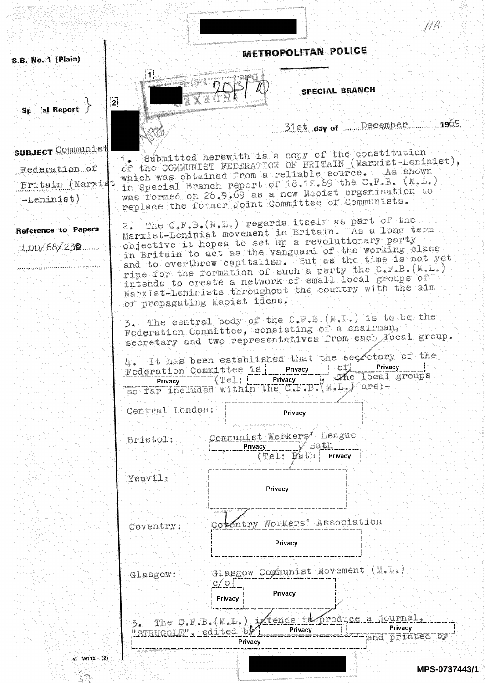S.B. No. 1 (Plain)

**SPECIAL BRANCH** 

31st day of December 1969

M A

Submitted herewith is a copy of the constitution  $1<sub>o</sub>$ of the COMMUNIST FEDERATION OF BRITAIN (Marxist-Leninist), which was obtained from a reliable source. As shown in Special Branch report of 18.12.69 the C.F.B. (M.L.) was formed on 28.9.69 as a new Maoist organisation to replace the former Joint Committee of Communists.

METROPOLITAN POLICE

2. The C.F.B. (M.L.) regards itself as part of the Marxist-Leninist movement in Britain. As a long term objective it hopes to set up a revolutionary party in Britain to act as the vanguard of the working class and to overthrow capitalism. But as the time is not yet ripe for the formation of such a party the C.F.B. (M.L.) intends to create a network of small local groups of Marxist-Leninists throughout the country with the aim of propagating Maoist ideas.

3. The central body of the C.F.B. (M.L.) is to be the Federation Committee, consisting of a chairman, secretary and two representatives from each Yocal group.

| 4. It has been established that the secretary of the |      |         |                 |         |  |
|------------------------------------------------------|------|---------|-----------------|---------|--|
| Federation Committee is                              |      | Privacy | $-OT$           | Privacy |  |
| Privacy                                              | (11) | Privacy | Me local groups |         |  |
| so far included within the C.F.B. $(M.L.)$ are:-     |      |         |                 |         |  |
|                                                      |      |         |                 |         |  |
| Central London:                                      |      | Privacy |                 |         |  |

Communist Workers' League Bristol: ⊤V Bath Privacy Bath Privacy  $(Te1:$ 

Yeovil:

Coventry:

11.

 $\overline{2}$ 

Privacy

Cotentry Workers' Association

Privacy

al Report  $\mathbb{S}$ r.

**SUBJECT** Communist Federation of Britain (Marxist -Leninist)

**Reference to Papers**  $1100/68/239$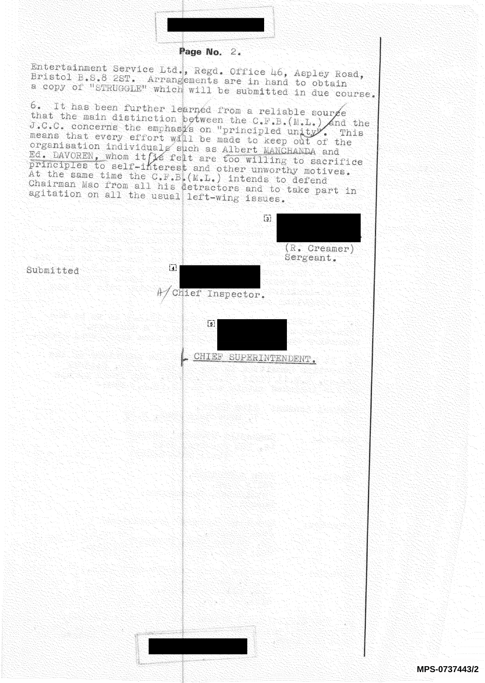